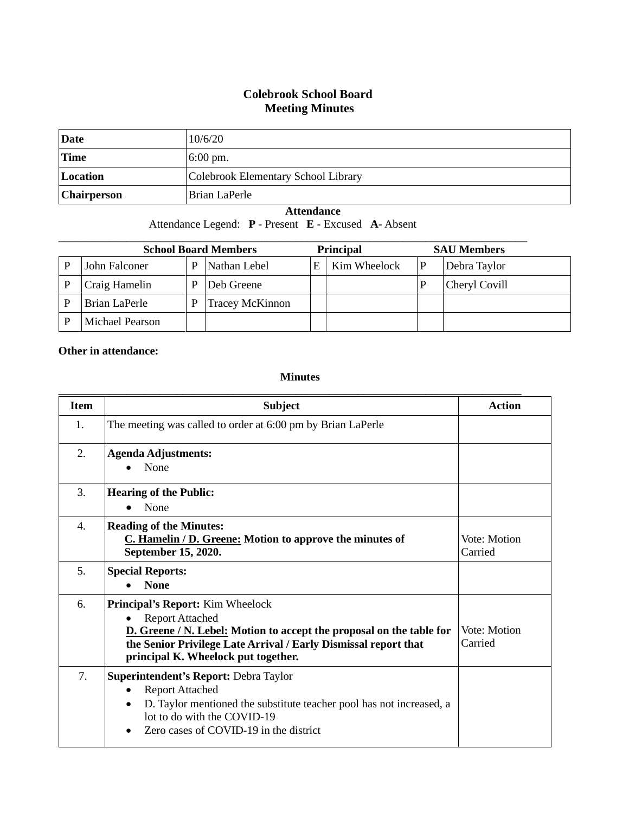## **Colebrook School Board Meeting Minutes**

| <b>Date</b>        | 10/6/20                             |
|--------------------|-------------------------------------|
| <b>Time</b>        | $6:00 \text{ pm}$ .                 |
| Location           | Colebrook Elementary School Library |
| <b>Chairperson</b> | Brian LaPerle                       |

## **Attendance**

Attendance Legend: **P** - Present **E** - Excused **A**- Absent

| <b>School Board Members</b> |                 |   | <b>Principal</b>       |    | <b>SAU Members</b> |               |
|-----------------------------|-----------------|---|------------------------|----|--------------------|---------------|
|                             | John Falconer   | P | Nathan Lebel           | E. | Kim Wheelock       | Debra Taylor  |
|                             | Craig Hamelin   | D | Deb Greene             |    |                    | Cheryl Covill |
|                             | Brian LaPerle   | P | <b>Tracey McKinnon</b> |    |                    |               |
|                             | Michael Pearson |   |                        |    |                    |               |

## **Other in attendance:**

## **Minutes**

| <b>Item</b> | <b>Subject</b>                                                                                                                                                                                                                                    | Action                  |
|-------------|---------------------------------------------------------------------------------------------------------------------------------------------------------------------------------------------------------------------------------------------------|-------------------------|
| 1.          | The meeting was called to order at 6:00 pm by Brian LaPerle                                                                                                                                                                                       |                         |
| 2.          | <b>Agenda Adjustments:</b><br>None                                                                                                                                                                                                                |                         |
| 3.          | <b>Hearing of the Public:</b><br>None                                                                                                                                                                                                             |                         |
| 4.          | <b>Reading of the Minutes:</b><br>C. Hamelin / D. Greene: Motion to approve the minutes of<br>September 15, 2020.                                                                                                                                 | Vote: Motion<br>Carried |
| 5.          | <b>Special Reports:</b><br><b>None</b>                                                                                                                                                                                                            |                         |
| 6.          | Principal's Report: Kim Wheelock<br><b>Report Attached</b><br>D. Greene / N. Lebel: Motion to accept the proposal on the table for<br>the Senior Privilege Late Arrival / Early Dismissal report that<br>principal K. Wheelock put together.      | Vote: Motion<br>Carried |
| 7.          | <b>Superintendent's Report: Debra Taylor</b><br><b>Report Attached</b><br>$\bullet$<br>D. Taylor mentioned the substitute teacher pool has not increased, a<br>$\bullet$<br>lot to do with the COVID-19<br>Zero cases of COVID-19 in the district |                         |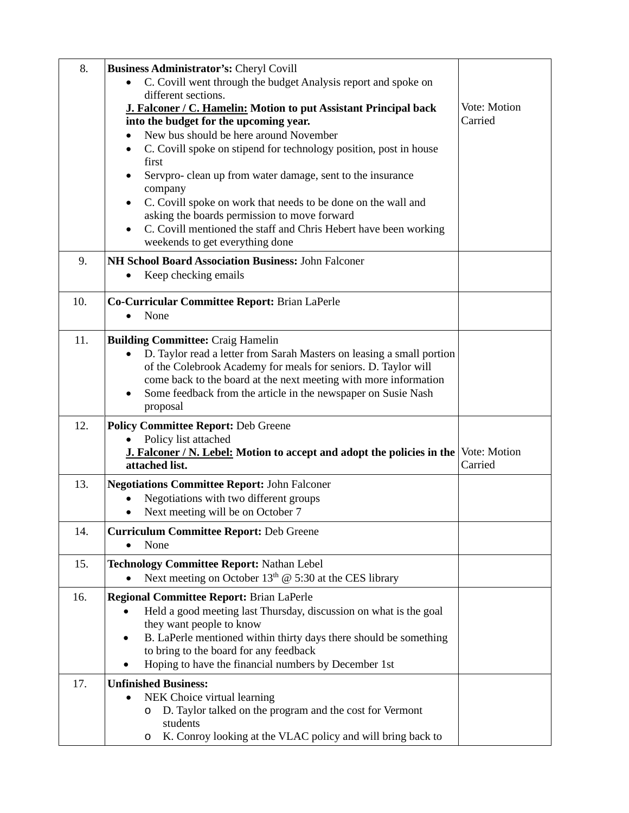| 8.  | Business Administrator's: Cheryl Covill                                                                                           |              |
|-----|-----------------------------------------------------------------------------------------------------------------------------------|--------------|
|     | C. Covill went through the budget Analysis report and spoke on                                                                    |              |
|     | different sections.                                                                                                               |              |
|     | J. Falconer / C. Hamelin: Motion to put Assistant Principal back                                                                  | Vote: Motion |
|     | into the budget for the upcoming year.                                                                                            | Carried      |
|     | New bus should be here around November                                                                                            |              |
|     | C. Covill spoke on stipend for technology position, post in house                                                                 |              |
|     | first                                                                                                                             |              |
|     | Servpro- clean up from water damage, sent to the insurance                                                                        |              |
|     | company                                                                                                                           |              |
|     | C. Covill spoke on work that needs to be done on the wall and<br>asking the boards permission to move forward                     |              |
|     | C. Covill mentioned the staff and Chris Hebert have been working                                                                  |              |
|     | weekends to get everything done                                                                                                   |              |
|     |                                                                                                                                   |              |
| 9.  | NH School Board Association Business: John Falconer                                                                               |              |
|     | Keep checking emails                                                                                                              |              |
| 10. | Co-Curricular Committee Report: Brian LaPerle                                                                                     |              |
|     | None                                                                                                                              |              |
|     |                                                                                                                                   |              |
| 11. | <b>Building Committee: Craig Hamelin</b>                                                                                          |              |
|     | D. Taylor read a letter from Sarah Masters on leasing a small portion                                                             |              |
|     | of the Colebrook Academy for meals for seniors. D. Taylor will                                                                    |              |
|     | come back to the board at the next meeting with more information<br>Some feedback from the article in the newspaper on Susie Nash |              |
|     | proposal                                                                                                                          |              |
| 12. |                                                                                                                                   |              |
|     | <b>Policy Committee Report: Deb Greene</b><br>Policy list attached                                                                |              |
|     | J. Falconer / N. Lebel: Motion to accept and adopt the policies in the                                                            | Vote: Motion |
|     | attached list.                                                                                                                    | Carried      |
| 13. | <b>Negotiations Committee Report: John Falconer</b>                                                                               |              |
|     | Negotiations with two different groups                                                                                            |              |
|     | Next meeting will be on October 7                                                                                                 |              |
| 14. | <b>Curriculum Committee Report: Deb Greene</b>                                                                                    |              |
|     | None                                                                                                                              |              |
|     |                                                                                                                                   |              |
| 15. | <b>Technology Committee Report: Nathan Lebel</b><br>Next meeting on October $13th$ @ 5:30 at the CES library                      |              |
|     |                                                                                                                                   |              |
| 16. | <b>Regional Committee Report: Brian LaPerle</b>                                                                                   |              |
|     | Held a good meeting last Thursday, discussion on what is the goal                                                                 |              |
|     | they want people to know                                                                                                          |              |
|     | B. LaPerle mentioned within thirty days there should be something<br>$\bullet$<br>to bring to the board for any feedback          |              |
|     | Hoping to have the financial numbers by December 1st                                                                              |              |
| 17. | <b>Unfinished Business:</b>                                                                                                       |              |
|     | NEK Choice virtual learning                                                                                                       |              |
|     | D. Taylor talked on the program and the cost for Vermont<br>O                                                                     |              |
|     | students                                                                                                                          |              |
|     | K. Conroy looking at the VLAC policy and will bring back to<br>$\circ$                                                            |              |